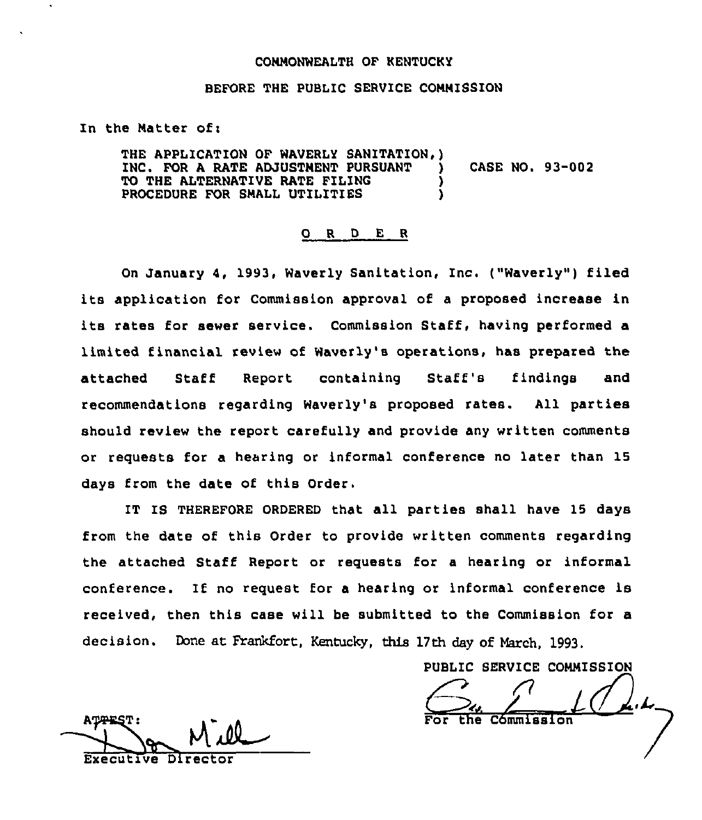#### CONNONWEALTH OF KENTUCKY

#### BEFORE THE PUBLIC SERVICE CONNISSION

In the Matter of:

THE APPLICATION OF WAVERLY SANITATION, ) INC. FOR <sup>A</sup> RATE ADJUSTNENT PURSUANT ) CASE NO. 93-002 TO THE ALTERNATIVE RATE FILING PROCEDURE FOR SMALL UTILITIES

#### 0 <sup>R</sup> <sup>D</sup> <sup>E</sup> <sup>R</sup>

On January 4, 1993, Waverly Sanitation, Inc. ("Waverly") filed its application for Commission approval of <sup>a</sup> proposed increase in its rates for sewer service. Commission Staff, having performed a limited financial review of Waverly's operations, has prepared the attached Staff Report containing Staff's findings and recommendations regarding Waverly's proposed rates. All parties should review the report carefully and provide any written comments or requests for a hearinq or informal conference no later than 15 days from the date of this Order.

IT IS THEREFORE ORDERED that all parties shall have 15 days from the date of this Order to provide written comments regarding the attached Staff Report or requests for a hearing or informal conference. If no request for a hearing or informal conference is received, then this case will be submitted to the Commission for a decision. Done at Frankfort, Kentucky, this 17th day of March, 1993.

PUBLIC SERVICE COMMISSIO PUBLIC SERVICE COMMISSION<br>
Contract the Commission Cómmission

ATTEST: <u>W (1</u> Executive Direc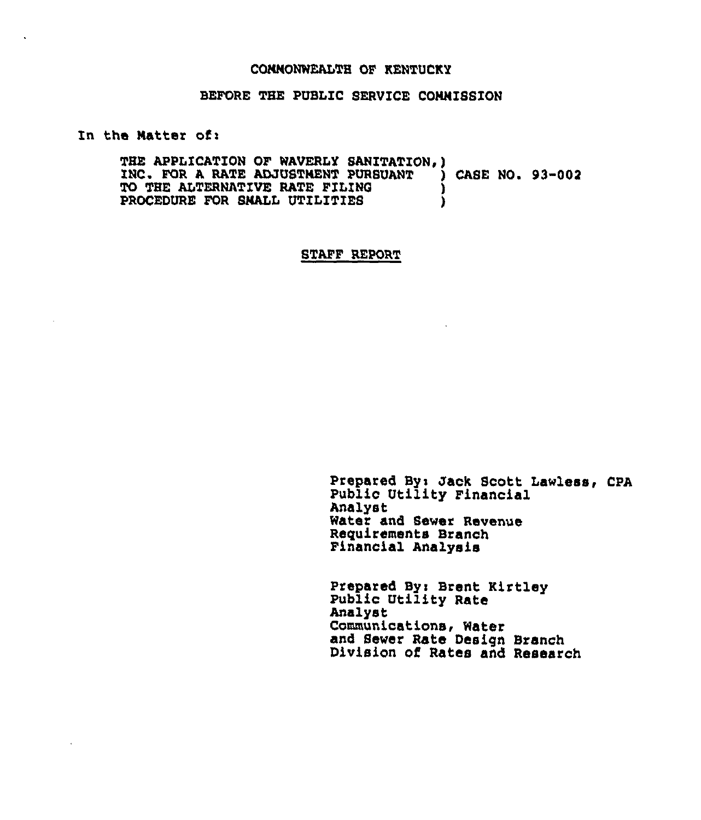#### CONNONWEALTH OF KENTUCKY

## BEFORE THE PUBLIC SERVICE COMMISSION

In the Natter of:

THE APPLICATION OF WAVERLY SANITATION, )<br>INC. FOR A RATE ADJUSTMENT PURSUANT ) CASE NO. 93-002 INC. FOR A RATE ADJUSTMENT PURSUANT )<br>TO THE ALTERNATIVE RATE FILING TO THE ALTERNATIVE RATE FILING (1999) PROCEDURE FOR SNALL UTILITIES

### STAFF REPORT

Prepared By< Jack Scott Lawless, CPA Public Utility Financial Analyst Water and Sewer Revenue Requirements Branch Financial Analysis

Prepared Byi Brent Kirtley Public Utility Rate Analyst Communications< Water and Sewer Rate Design Branch Division of Rates and Research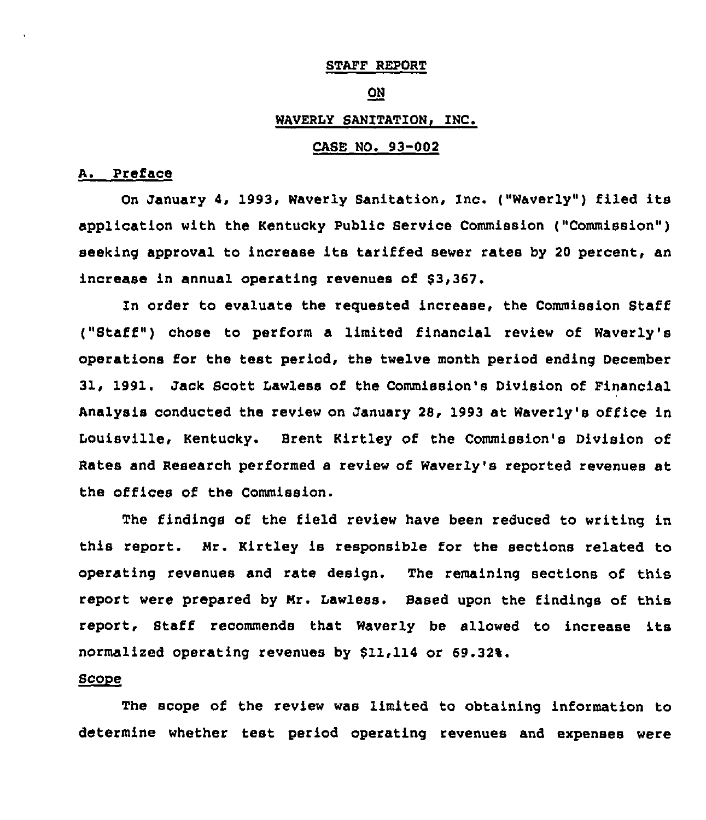# STAFF REPORT

#### ON

# WAVERLY SANITATION, INC.

### CASE NO. 93-002

### A. Preface

On January 4, 1993, Waverly Sanitation, Inc. ("Waverly") filed its application with the Kentucky Public Service Commission ("Commission") seeking approval to increase its tariffed sewer rates by <sup>20</sup> percent, an increase in annual operating revenues of \$3,367.

In order to evaluate the requested increase, the Commission Staff ("Staff" ) chose to perform <sup>a</sup> limited financial review of Waverly's operations for the test period, the twelve month period ending December 31, 1991. Jack Scott Lawless of the Commission's Division of Financial Analysis conducted the review on January 28, 1993 at Waverly's office in Louisville, Kentucky. Brent Kirtley of the Commission's Division of Rates and Research performed a review of waverly's reported revenues at the offices of the Commission.

The findings of the field review have been reduced to writing in this report. Nr. Kirtley is responsible for the sections related to operating revenues and rate design. The remaining sections of this report were prepared by Nr. Lawless. Based upon the findings of this report, Staff recommends that Waverly be allowed to increase its normalized operating revenues by \$11,114 or 69.32%.

### Scope

The scope of the review was limited to obtaining information to determine whether test period operating revenues and expenses were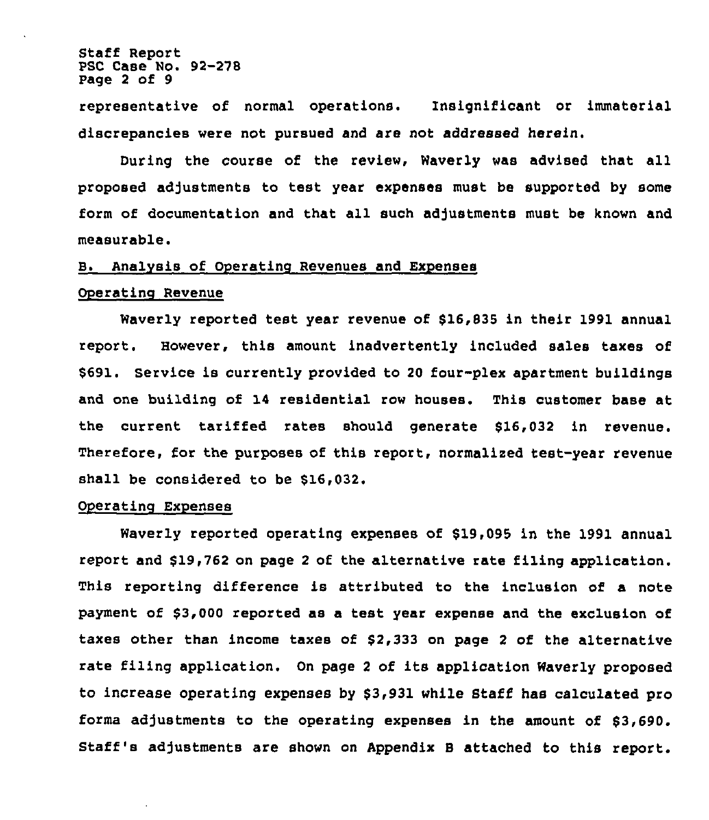Staff Report PSC Case No. 92-278 Page 2 of 9

representative of normal operations. Insignificant or immaterial discrepancies were not pursued and are not addressed herein.

During the course of the review, Waverly was advised that all proposed adjustments to test year expenses must be supported by some form of documentation and that all such adjustments must be known and measurable.

#### B. Analvsis of Operating Revenues and Expenses

### Operating Revenue

Waverly reported test year revenue of \$16,835 in their 1991 annual report. However, this amount inadvertently included sales taxes of \$691. Service is currently provided to 20 four-plex apartment buildings and one building of 14 residential row houses. This customer base at the current tariffed rates should generate \$16,032 in revenue. Therefore, for the purposes of this report, normalized test-year revenue shall be considered to be \$16,032.

#### Operating Expenses

Waverly reported operating expenses of \$19,095 in the 1991 annual report and \$19,762 on page <sup>2</sup> of the alternative rate filing application. This reporting difference is attributed to the inclusion of a note payment of \$3,000 reported as a test year expense and the exclusion of taxes other than income taxes of \$2,333 on page <sup>2</sup> of the alternative rate filing application. On page <sup>2</sup> of its application Waverly proposed to increase operating expenses by \$3,931 while Staff has calculated pro forms adjustments to the operating expenses in the amount of \$3,690. Staff's adjustments are shown on Appendix <sup>B</sup> attached to this report.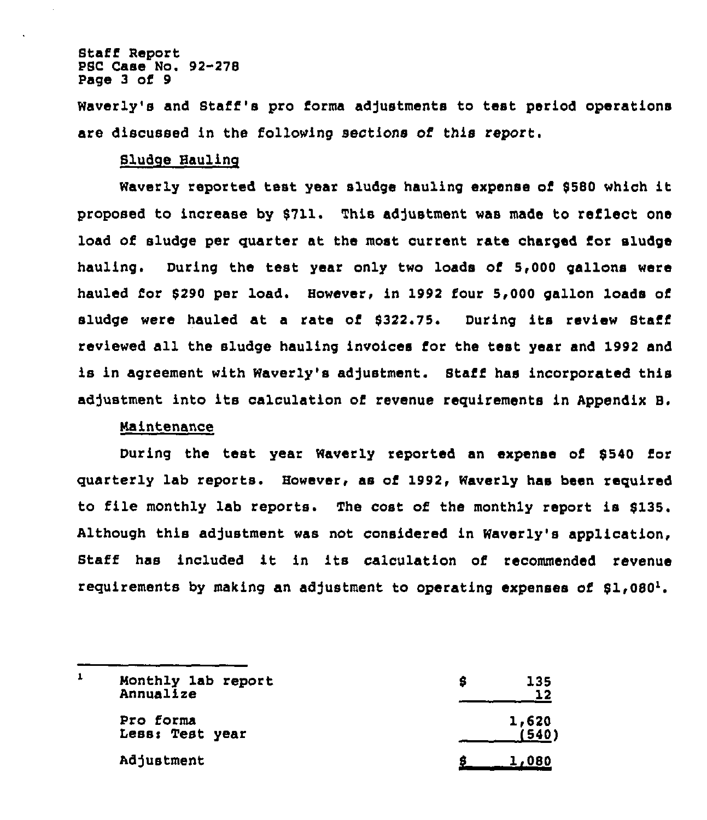### Staff Report PSC Case No. 92-278 Page 3 of 9

Waverly's and Staff's pro forms adjustments to test period operations are discussed in the following sections of this report.

## Sludge Haulinc

Waverly reported test year sludge hauling expense of <sup>8580</sup> which it proposed to increase by \$711. This adjustment was made to reflect one load of sludge per quarter at the most current rate charged for sludge hauling. During the test year only two loads of 5,000 gallons were hauled for 8290 per load. However, in 1992 four 5,000 gallon loads of sludge were hauled at a rate of 8322.75. During its review Staff reviewed all the sludge hauling invoices for the test year and 1992 and is in agreement with Waverly's adjustment. Staff has incorporated this adjustment into its calculation of revenue requirements in Appendix B.

# maintenance

During the test year Waverly reported an expense of \$540 for quarterly lab reports. However, as of 1992, Waverly has been required to file monthly lab reports. The cost of the monthly report is 8135. Although this adjustment was not considered in Waverly's application, Staff has included it in its calculation of recommended revenue requirements by making an adjustment to operating expenses of  $$1,080^1$ .

|  | Monthly 1ab report<br>Annualize | 135<br>12      |
|--|---------------------------------|----------------|
|  | Pro forma<br>Less: Test year    | 1,620<br>7540) |
|  | Adjustment                      | 1,080          |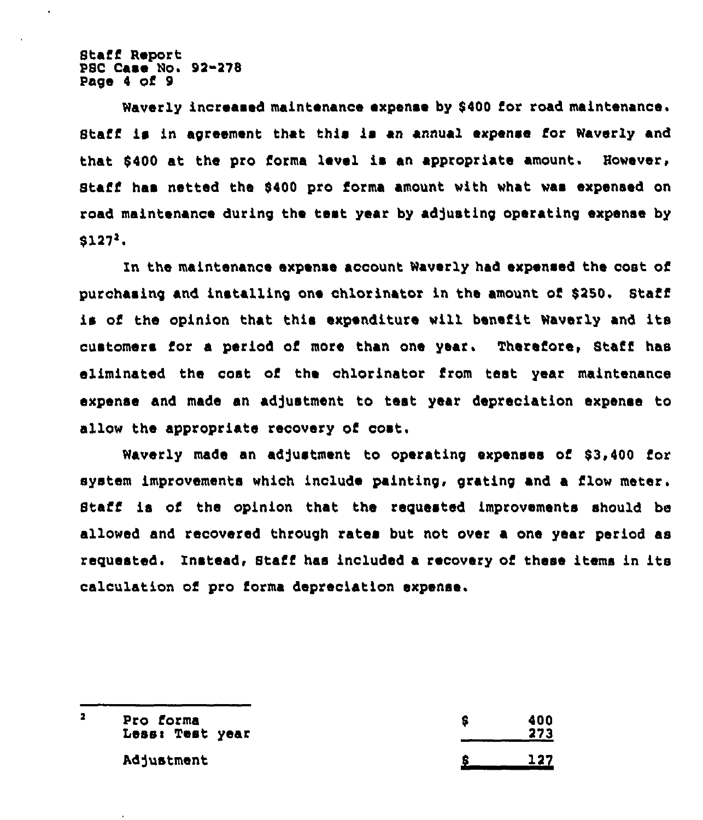Staff Report PSC Case No. 92-278 Page <sup>4</sup> of 9

Waverly increased maintenance expense by 9400 for road maintenance. Staff is in agreement that this is an annual expense for Waverly and that \$400 at the pro forma level is an appropriate amount. However, Staff has netted the \$400 pro forma amount with what was expensed on road maintenance during the test year by adjusting operating expense by  $$127<sup>2</sup>$ .

ln the maintenance expense account Waverly had expensed the cost of purchasing and installing one chlorinator in the amount of \$250. Staff is of the opinion that this expenditure will benefit Waverly and its customers for a period of more than one year. Therefore, Staff has eliminated the cost of the chlorinator from test year maintenance expense and made an adjustment to test year depreciation expense to allow the appropriate recovery of cost.

Waverly made an adjustment to operating expenses of \$3,400 for system improvements which include painting, grating and a flow meter, Staff is of the opinion that the requested improvements should be allowed and recovered through rates but not over a one year period as requested. Instead, Staff has included a recovery of these items in its calculation of pro forma depreciation expense.

| Pro forma<br>Less: Test year | 400<br>273 |
|------------------------------|------------|
| Adjustment                   |            |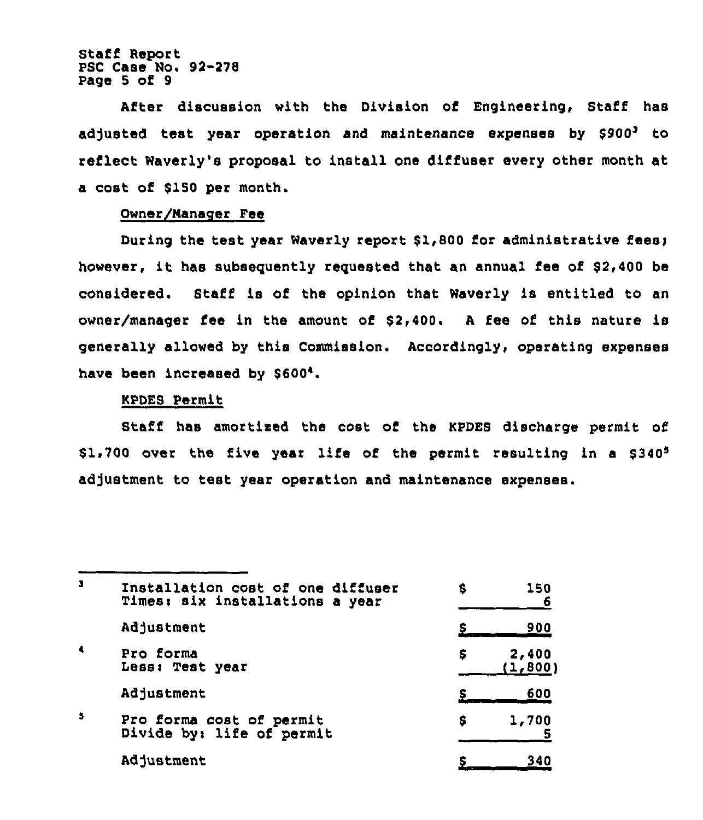Staff Report PSC Case No. 92-278 Page 5 of 9

After discussion with the Division of Engineering, Staff has adjusted test year operation and maintenance expenses by \$900' to reflect Waverly's proposal to install one diffuser every other month at a cost of \$150 per month.

# Owner/Manager Fee

During the test year Waverly report \$1,800 for administrative fees; however, it has subsequently requested that an annual fee of \$2,400 be considered. Staff is of the opinion that Waverly is entitled to an owner/manager fee in the amount of  $$2,400$ . A fee of this nature is generally allowed by this Commission. Accordingly, operating expenses have been increased by \$600'.

## KPDES Permit

Staff has amortised the cost of the KPDES discharge permit of \$1,700 over the five year life of the permit resulting in a  $$340<sup>5</sup>$ adjustment to test year operation and maintenance expenses.

| э                    | Installation cost of one diffuser<br>Times: six installations a year | s | 150               |
|----------------------|----------------------------------------------------------------------|---|-------------------|
|                      | Adjustment                                                           |   | 900               |
| $\ddot{\phantom{a}}$ | Pro forma<br>Less: Test year                                         | s | 2,400<br>(1, 800) |
|                      | Adjustment                                                           |   | 600               |
| 5                    | Pro forma cost of permit<br>Divide by: life of permit                | s | 1,700             |
|                      | Adjustment                                                           |   | 340               |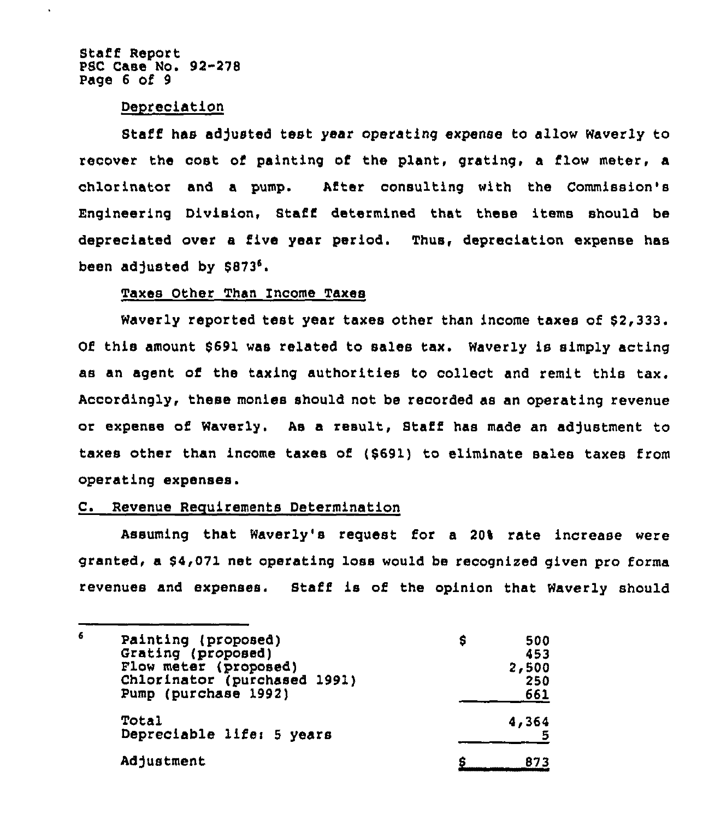Staff Report PSC Case No. 92-278 Page 6 of 9

### Depreciation

Staff has adjusted test year operating expense to allow Waverly to recover the cost of painting of the plant, grating, a flow meter, a chlorinator and a pump. After consulting with the Commission's Engineering Division, Staff determined that these items should be depreciated over a five year period. Thus, depreciation expense has been adjusted by  $$873<sup>6</sup>$ .

# Taxes Other Than Income Taxes

Waverly reported test year taxes other than income taxes of \$2,333. Of this amount \$ 691 was related to sales tax. Waverly is simply acting as an agent of the taxing authorities to collect and remit this tax. Accordingly, these monies should not be recorded as an operating revenue or expense of Waverly. As a result, Staff has made an adjustment to taxes other than income taxes of (\$691) to eliminate sales taxes from operating expenses.

## C. Revenue Requirements Determination

Assuming that Waverly's request for a 20% rate increase were granted, a \$4,071 net operating loss would be recognized given pro forma revenues and expenses. Staff is of the opinion that Waverly should

| 6 | Painting (proposed)<br>Grating (proposed)<br>Flow meter (proposed)<br>Chlorinator (purchased 1991)<br>Pump (purchase 1992) | s | 500<br>453<br>2,500<br>250 |
|---|----------------------------------------------------------------------------------------------------------------------------|---|----------------------------|
|   | Total<br>Depreciable life: 5 years                                                                                         |   | 661<br>4,364               |
|   | Adjustment                                                                                                                 |   | 873                        |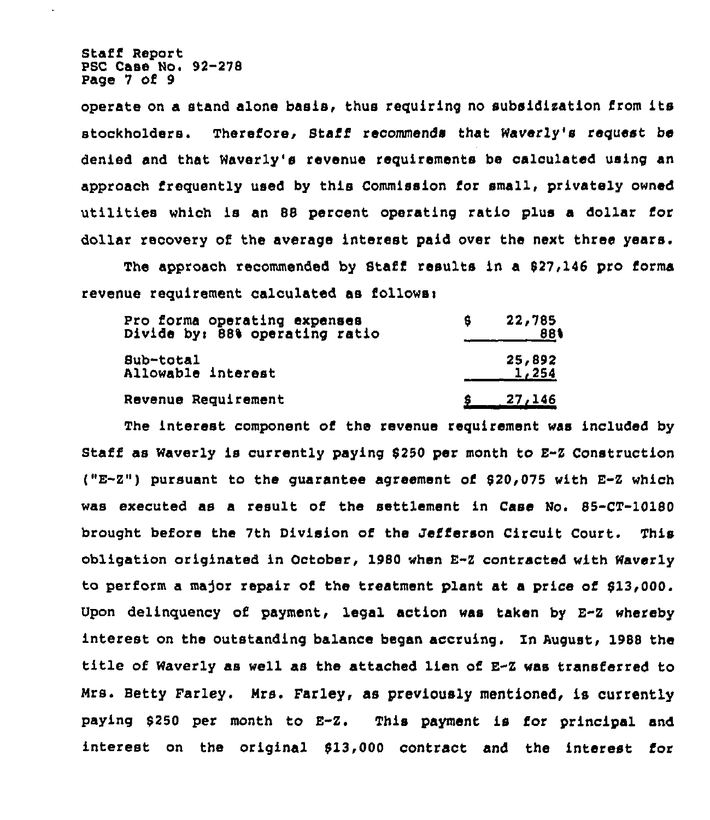Staff Report PSC Case No. 92-278 Page 7 of 9

operate on a stand alone basis, thus requiring no subsidization from its stockholders. Therefore, Staff recommends that Waverly's request be denied and that Waverly's revenue requirements be calculated using an approach frequently used by this Commission for small, privately owned utilities which is an 88 percent operating ratio plus a dollar for dollar recovery of the average interest paid over the next three years.

The approach recommended by Staff results in a 827,146 pro forma revenue requirement calculated as follows:

| 22,785<br>88%   |
|-----------------|
| 25,892<br>1,254 |
| 27,146          |
|                 |

The interest component of the revenue requirement was included by staff as waverly is currently paying 8250 per month to E"z construction ("E-z") pursuant to the guarantee agreement of 820,075 with E-z which was executed as a result of the settlement in Case No. 85-CT-10180 brought before the 7th Division of the Jefferson Circuit Court. This obligation originated in October, 1980 when E-Z contracted with Waverly to perform a major repair of the treatment plant at a price of \$13,000. Upon delinquency of payment, legal action was taken by E-Z whereby interest on the outstanding balance began accruing. In August, 1988 the title of waverly as well as the attached lien of E-Z was transferred to Mrs. Betty Farley. Mrs. Farley, as previously mentioned, is currently paying \$ <sup>250</sup> per month to E-Z. This payment is for principal and interest on the original 813,000 contract and the interest for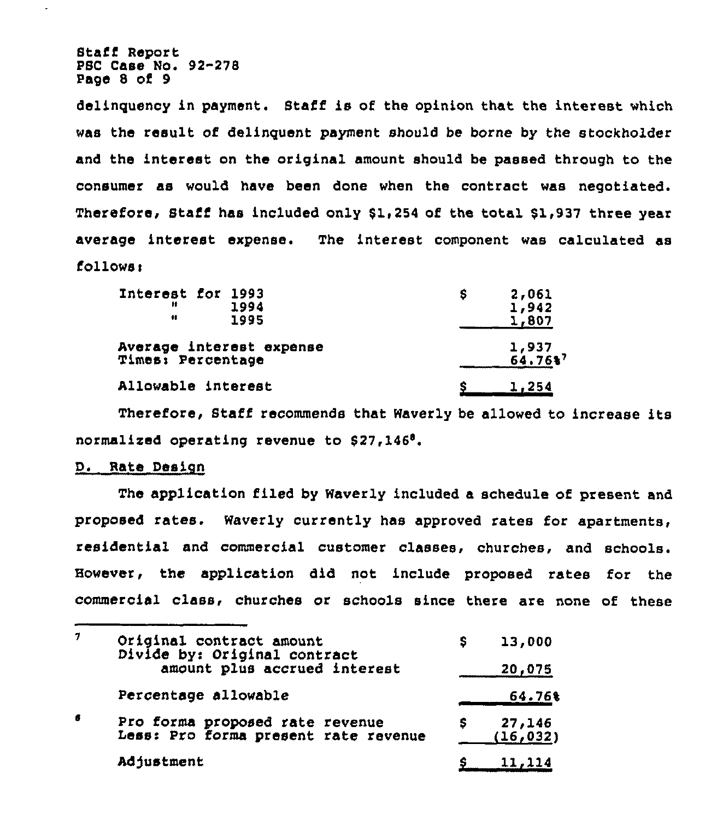Staff Report PSC Case Mo. 92-278 Page 8 of 9

delinguency in payment. Staff is of the opinion that the interest which was the result of delinguent payment should be borne by the stockholder and the interest on the original amount should be passed through to the consumer as would have been done when the contract was negotiated. Therefore, Staff has included only 81,254 of the total 81,937 three year average interest expense. The interest component was calculated as  $f$ ollows:

| Interest for 1993<br>Ħ<br>1994<br><br>1995    | 2,061<br>s<br>1,942<br>1,807 |
|-----------------------------------------------|------------------------------|
| Average interest expense<br>Times: Percentage | $1,937$<br>64.76%            |
| Allowable interest                            | 1,254                        |

Therefore, Staff recommends that Waverly be allowed to increase its normalized operating revenue to \$27,146°.

# D. Rate Design

The application filed by Waverly included a schedule of present and proposed rates. Waverly currently has approved rates for apartments, residential and commercial customer classes, churches, and schools. However, the application did not include proposed rates for the commercial class, churches or schools since there are none of these

| 7 | Original contract amount<br>Divide by: Original contract                | s | 13,000              |
|---|-------------------------------------------------------------------------|---|---------------------|
|   | amount plus accrued interest                                            |   | 20,075              |
|   | Percentage allowable                                                    |   | 64.76%              |
| 6 | Pro forma proposed rate revenue<br>Less: Pro forma present rate revenue |   | 27,146<br>(16, 032) |
|   | Adjustment                                                              |   | 11,114              |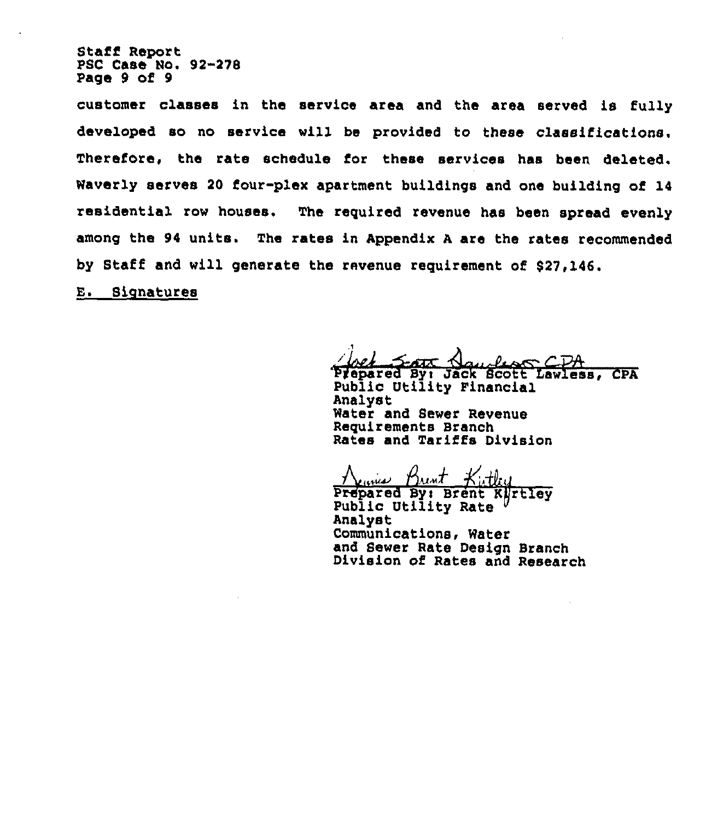Staff Report PSC Case Ho. 92-278 Page 9 of 9

customer classes in the service area and the area served is fully developed so no service will be provided to these classifications. Therefore, the rate schedule for these services has been deleted. Waverly serves 20 four-plex apartment buildings and one building of 14 residential row houses. The required revenue has been spread evenly among the 94 units. The rates in Appendix <sup>A</sup> are the rates recommended by Staff and will generate the revenue requirement of \$27,146.

**E.** Signatures

And State Now floor CDA<br>Prepared By: Jack Scott Lawless, CPA<br>Public Utility Financial Analyst Water and Sewer Revenue Requirements Branch Rates and Tariffs Division

Jeanus Brint

Prepared By: Brent Kjrtley<br>Public Utility Rate<br>Analyst Communications, Water and Sewer Rate Design Branch Division of Rates and Research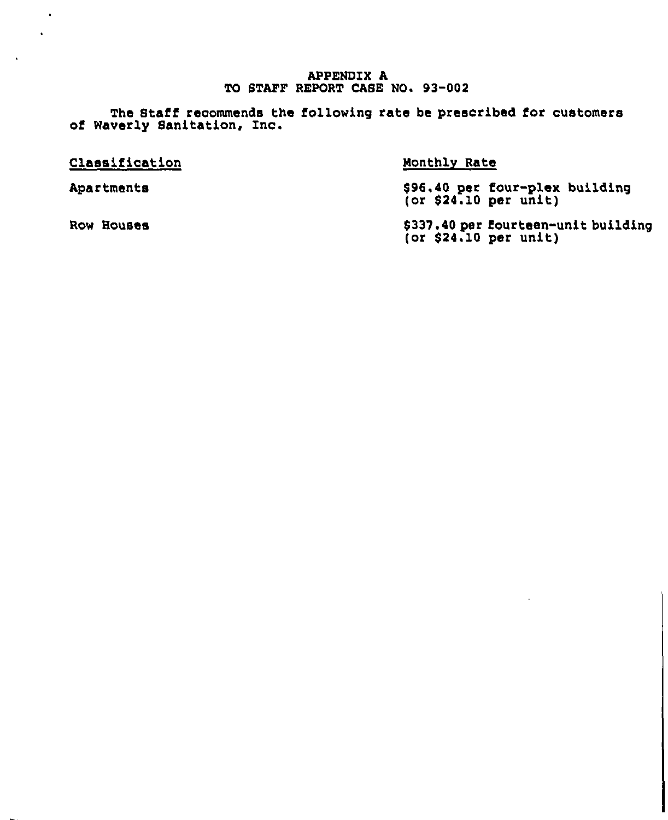# APPENDIX A TO STAFF REPORT CASE NO. 93-002

The Staff recommends the following rate be prescribed for customer of Waverly Sanitation, Inc.

| Classification | Monthly Rate                                                 |
|----------------|--------------------------------------------------------------|
| Apartments     | \$96.40 per four-plex building<br>(or \$24.10 per unit)      |
| Row Houses     | \$337.40 per fourteen-unit building<br>(or \$24.10 per unit) |

 $\bullet$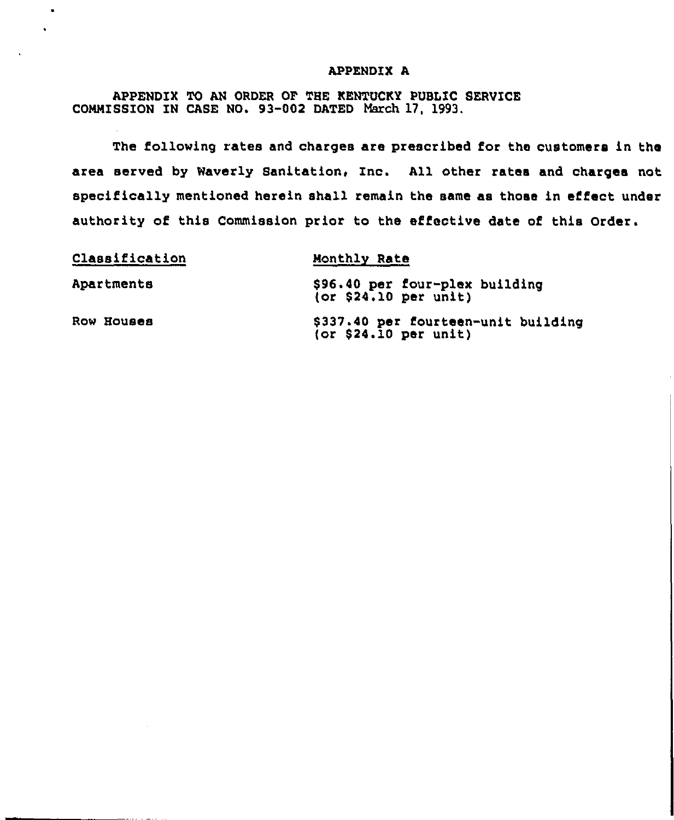# APPENDIX A

APPENDIX TO AN ORDER OF THE KENTUCKY PUBLIC SERVICE COMMISSION IN CASE NO. 93-002 DATED March 17, 1993.

 $\bullet$ 

The following rates and charges are prescribed for the customers in the area served by Waverly Sanitation, Inc. All other rates and charges not specifically mentioned herein shall remain the same as those in effect under authority of this Commission prior to the effective date of this Order.

| Classification | Monthly Rate                                                 |
|----------------|--------------------------------------------------------------|
| Apartments     | \$96.40 per four-plex building<br>(or \$24.10 per unit)      |
| Row Houses     | \$337.40 per fourteen-unit building<br>(or \$24.10 per unit) |